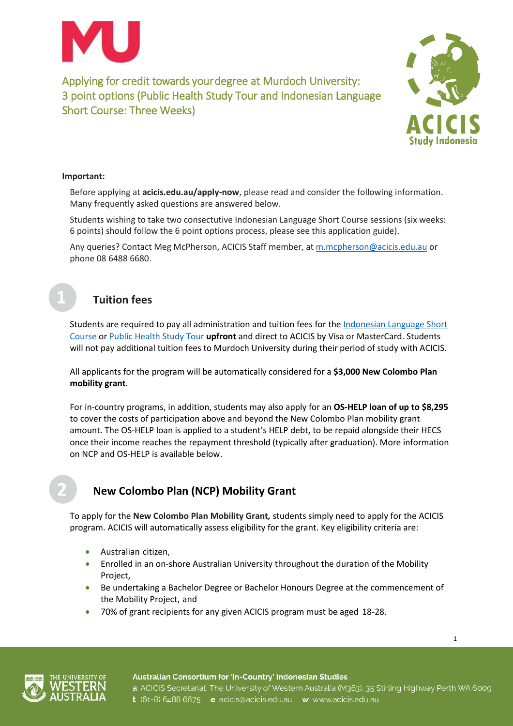



1

#### **Important:**

Before applying at **[acicis.edu.au/apply-now](http://acicis.edu.au/apply-now)**, please read and consider the following information. Many frequently asked questions are answered below.

Students wishing to take two consectutive Indonesian Language Short Course sessions (six weeks: 6 points) should follow the 6 point options process, please see this application guide).

Any queries? Contact Meg McPherson, ACICIS Staff member, at [m.mcpherson@acicis.edu.au](mailto:m.mcpherson@acicis.edu.au) or phone 08 6488 6680.



# **Tuition fees**

Students are required to pay all administration and tuition fees for the [Indonesian Language Short](https://www.acicis.edu.au/programs/tour/indonesian-language-short-course-ilsc/costs-ilsc/)  [Course](https://www.acicis.edu.au/programs/tour/indonesian-language-short-course-ilsc/costs-ilsc/) o[r Public Health Study Tour](https://www.acicis.edu.au/programs/tour/public-health-study-tour/costs/) **upfront** and direct to ACICIS by Visa or MasterCard. Students will not pay additional tuition fees to Murdoch University during their period of study with ACICIS.

All applicants for the program will be automatically considered for a **\$3,000 New Colombo Plan mobility grant**.

For in-country programs, in addition, students may also apply for an **OS-HELP loan of up to \$8,295** to cover the costs of participation above and beyond the New Colombo Plan mobility grant amount. The OS-HELP loan is applied to a student's HELP debt, to be repaid alongside their HECS once their income reaches the repayment threshold (typically after graduation). More information on NCP and OS-HELP is available below.

# **New Colombo Plan (NCP) Mobility Grant**

To apply for the **New Colombo Plan Mobility Grant***,* students simply need to apply for the ACICIS program. ACICIS will automatically assess eligibility for the grant. Key eligibility criteria are:

- Australian citizen,
- Enrolled in an on-shore Australian University throughout the duration of the Mobility Project,
- Be undertaking a Bachelor Degree or Bachelor Honours Degree at the commencement of the Mobility Project, and
- 70% of grant recipients for any given ACICIS program must be aged 18-28.



Australian Consortium for 'In-Country' Indonesian Studies a ACICIS Secretariat, The University of Western Australia (M363), 35 Stirling Highway Perth WA 6009 t (61-8) 6488 6675 e acicis@acicis.edu.au w www.acicis.edu.au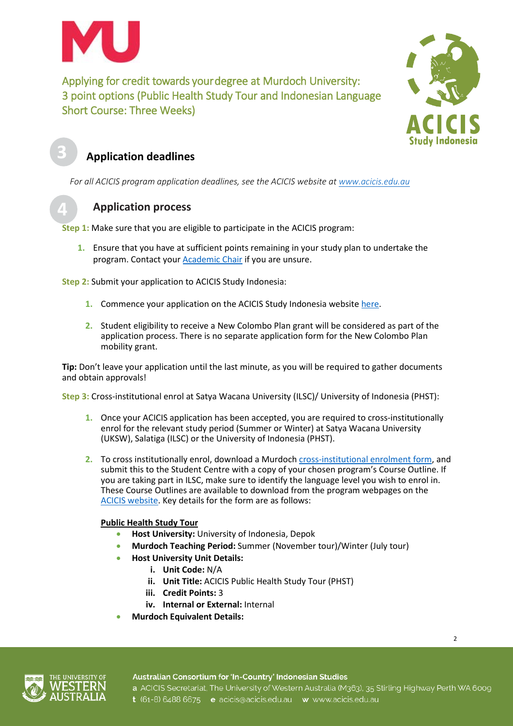



# **Application deadlines**

*For all ACICIS program application deadlines, see the ACICIS website at [www.acicis.edu.au](http://www.acicis.edu.au/)*

# **Application process**

**Step 1:** Make sure that you are eligible to participate in the ACICIS program:

**1.** Ensure that you have at sufficient points remaining in your study plan to undertake the program. Contact your [Academic Chair](http://www.murdoch.edu.au/contacts/academic/) if you are unsure.

**Step 2:** Submit your application to ACICIS Study Indonesia:

- **1.** Commence your application on the ACICIS Study Indonesia website [here.](http://www.acicis.edu.au/apply-now/)
- **2.** Student eligibility to receive a New Colombo Plan grant will be considered as part of the application process. There is no separate application form for the New Colombo Plan mobility grant.

**Tip:** Don't leave your application until the last minute, as you will be required to gather documents and obtain approvals!

**Step 3:** Cross-institutional enrol at Satya Wacana University (ILSC)/ University of Indonesia (PHST):

- **1.** Once your ACICIS application has been accepted, you are required to cross-institutionally enrol for the relevant study period (Summer or Winter) at Satya Wacana University (UKSW), Salatiga (ILSC) or the University of Indonesia (PHST).
- **2.** To cross institutionally enrol, download a Murdoch [cross-institutional](http://our.murdoch.edu.au/Student-life/_document/Enrolments-and-fees/ENF008_Cross_Institutional_Enrolment_Request.pdf) enrolment form, and submit this to the Student Centre with a copy of your chosen program's Course Outline. If you are taking part in ILSC, make sure to identify the language level you wish to enrol in. These Course Outlines are available to download from the program webpages on the [ACICIS website.](https://www.acicis.edu.au/) Key details for the form are as follows:

### **Public Health Study Tour**

- **Host University:** University of Indonesia, Depok
- **Murdoch Teaching Period:** Summer (November tour)/Winter (July tour)
	- **Host University Unit Details:**
		- **i. Unit Code:** N/A
		- **ii. Unit Title:** ACICIS Public Health Study Tour (PHST)
		- **iii. Credit Points:** 3
		- **iv. Internal or External:** Internal
- **Murdoch Equivalent Details:**

 $\overline{2}$ 

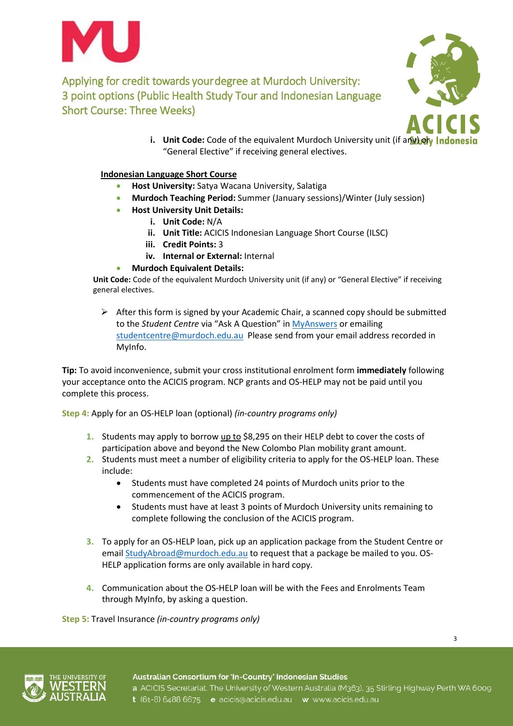



**i.** Unit Code: Code of the equivalent Murdoch University unit (if any) or Indonesia "General Elective" if receiving general electives.

#### **Indonesian Language Short Course**

- **Host University:** Satya Wacana University, Salatiga
- **Murdoch Teaching Period:** Summer (January sessions)/Winter (July session)
	- **Host University Unit Details:**
		- **i. Unit Code:** N/A
		- **ii. Unit Title:** ACICIS Indonesian Language Short Course (ILSC)
		- **iii. Credit Points:** 3
		- **iv. Internal or External:** Internal

#### • **Murdoch Equivalent Details:**

**Unit Code:** Code of the equivalent Murdoch University unit (if any) or "General Elective" if receiving general electives.

 $\triangleright$  After this form is signed by your Academic Chair, a scanned copy should be submitted to the *Student Centre* via "Ask A Question" in [MyAnswers](http://www.murdoch.edu.au/goto/MyAnswers) or emailing [studentcentre@murdoch.edu.au](mailto:studentcentre@murdoch.edu.au) Please send from your email address recorded in MyInfo.

**Tip:** To avoid inconvenience, submit your cross institutional enrolment form **immediately** following your acceptance onto the ACICIS program. NCP grants and OS-HELP may not be paid until you complete this process.

**Step 4:** Apply for an OS-HELP loan (optional) *(in-country programs only)*

- **1.** Students may apply to borrow up to \$8,295 on their HELP debt to cover the costs of participation above and beyond the New Colombo Plan mobility grant amount.
- **2.** Students must meet a number of eligibility criteria to apply for the OS-HELP loan. These include:
	- Students must have completed 24 points of Murdoch units prior to the commencement of the ACICIS program.
	- Students must have at least 3 points of Murdoch University units remaining to complete following the conclusion of the ACICIS program.
- **3.** To apply for an OS-HELP loan, pick up an application package from the Student Centre or emai[l StudyAbroad@murdoch.edu.au](mailto:StudyAbroad@murdoch.edu.au) to request that a package be mailed to you. OS-HELP application forms are only available in hard copy.
- **4.** Communication about the OS-HELP loan will be with the Fees and Enrolments Team through MyInfo, by asking a question.

**Step 5:** Travel Insurance *(in-country programs only)*



Australian Consortium for 'In-Country' Indonesian Studies a ACICIS Secretariat, The University of Western Australia (M363), 35 Stirling Highway Perth WA 6009 t (61-8) 6488 6675 e acicis@acicis.edu.au w www.acicis.edu.au